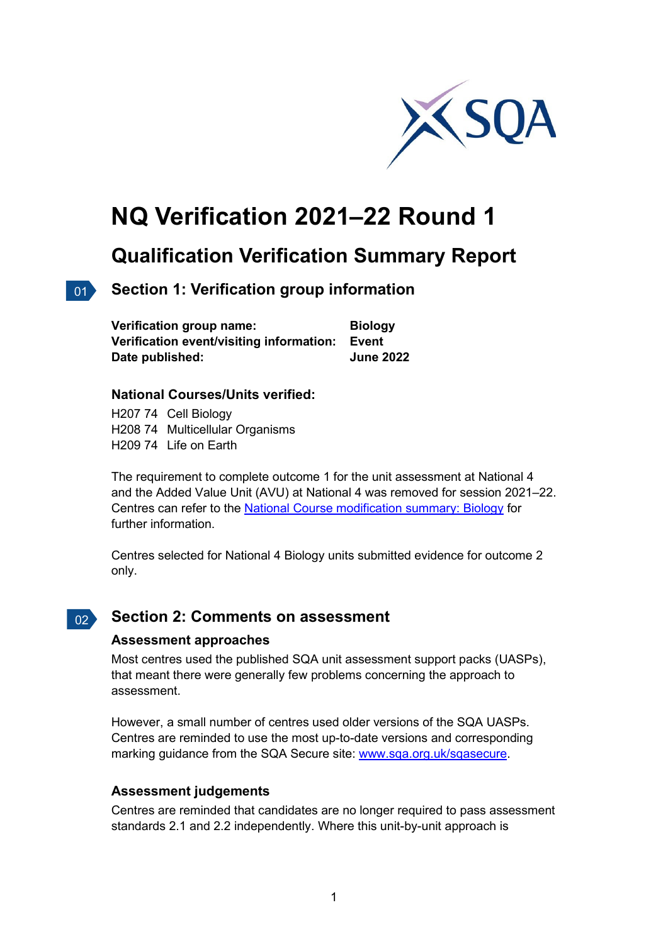

# **NQ Verification 2021–22 Round 1**

## **Qualification Verification Summary Report**

### 01 **Section 1: Verification group information**

| <b>Verification group name:</b>                | <b>Biology</b>   |
|------------------------------------------------|------------------|
| Verification event/visiting information: Event |                  |
| Date published:                                | <b>June 2022</b> |

#### **National Courses/Units verified:**

H207 74 Cell Biology H208 74 Multicellular Organisms H209 74 Life on Earth

The requirement to complete outcome 1 for the unit assessment at National 4 and the Added Value Unit (AVU) at National 4 was removed for session 2021–22. Centres can refer to the [National Course modification summary: Biology](https://www.sqa.org.uk/sqa/files_ccc/modification-summary-biology.pdf) for further information.

Centres selected for National 4 Biology units submitted evidence for outcome 2 only.

#### $\vert$  02  $\rangle$ **Section 2: Comments on assessment**

#### **Assessment approaches**

Most centres used the published SQA unit assessment support packs (UASPs), that meant there were generally few problems concerning the approach to assessment.

However, a small number of centres used older versions of the SQA UASPs. Centres are reminded to use the most up-to-date versions and corresponding marking guidance from the SQA Secure site: [www.sqa.org.uk/sqasecure.](http://www.sqa.org.uk/sqasecure)

#### **Assessment judgements**

Centres are reminded that candidates are no longer required to pass assessment standards 2.1 and 2.2 independently. Where this unit-by-unit approach is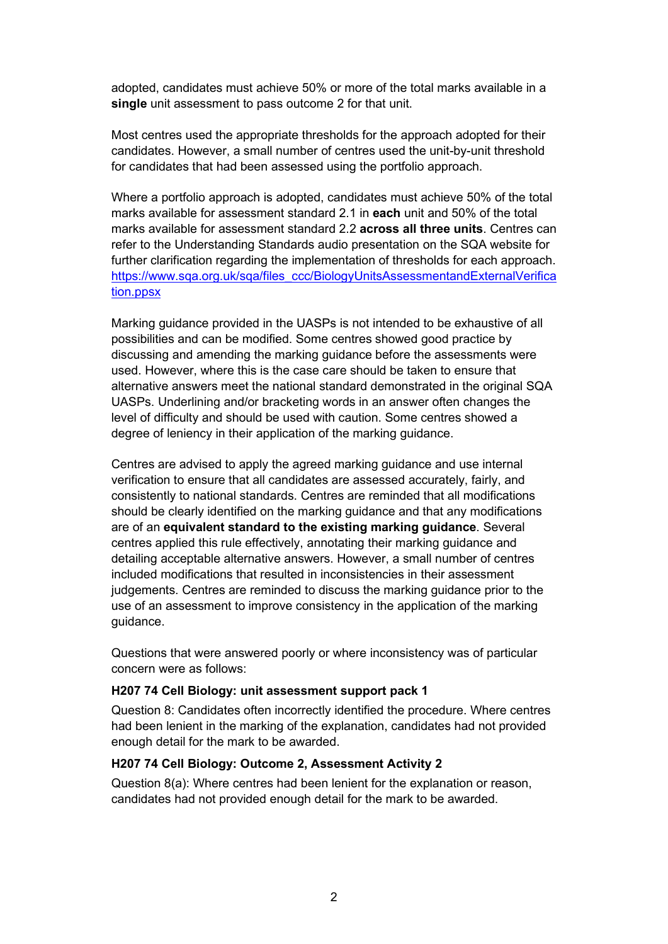adopted, candidates must achieve 50% or more of the total marks available in a **single** unit assessment to pass outcome 2 for that unit.

Most centres used the appropriate thresholds for the approach adopted for their candidates. However, a small number of centres used the unit-by-unit threshold for candidates that had been assessed using the portfolio approach.

Where a portfolio approach is adopted, candidates must achieve 50% of the total marks available for assessment standard 2.1 in **each** unit and 50% of the total marks available for assessment standard 2.2 **across all three units**. Centres can refer to the Understanding Standards audio presentation on the SQA website for further clarification regarding the implementation of thresholds for each approach. [https://www.sqa.org.uk/sqa/files\\_ccc/BiologyUnitsAssessmentandExternalVerifica](https://www.sqa.org.uk/sqa/files_ccc/BiologyUnitsAssessmentandExternalVerification.ppsx) [tion.ppsx](https://www.sqa.org.uk/sqa/files_ccc/BiologyUnitsAssessmentandExternalVerification.ppsx) 

Marking guidance provided in the UASPs is not intended to be exhaustive of all possibilities and can be modified. Some centres showed good practice by discussing and amending the marking guidance before the assessments were used. However, where this is the case care should be taken to ensure that alternative answers meet the national standard demonstrated in the original SQA UASPs. Underlining and/or bracketing words in an answer often changes the level of difficulty and should be used with caution. Some centres showed a degree of leniency in their application of the marking guidance.

Centres are advised to apply the agreed marking guidance and use internal verification to ensure that all candidates are assessed accurately, fairly, and consistently to national standards. Centres are reminded that all modifications should be clearly identified on the marking guidance and that any modifications are of an **equivalent standard to the existing marking guidance**. Several centres applied this rule effectively, annotating their marking guidance and detailing acceptable alternative answers. However, a small number of centres included modifications that resulted in inconsistencies in their assessment judgements. Centres are reminded to discuss the marking guidance prior to the use of an assessment to improve consistency in the application of the marking guidance.

Questions that were answered poorly or where inconsistency was of particular concern were as follows:

#### **H207 74 Cell Biology: unit assessment support pack 1**

Question 8: Candidates often incorrectly identified the procedure. Where centres had been lenient in the marking of the explanation, candidates had not provided enough detail for the mark to be awarded.

#### **H207 74 Cell Biology: Outcome 2, Assessment Activity 2**

Question 8(a): Where centres had been lenient for the explanation or reason, candidates had not provided enough detail for the mark to be awarded.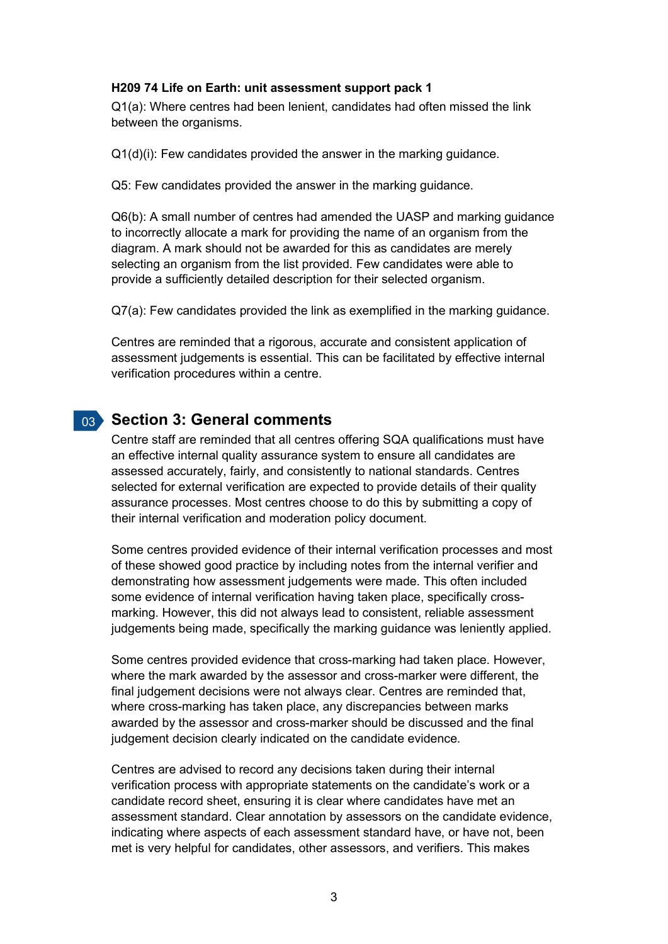#### **H209 74 Life on Earth: unit assessment support pack 1**

Q1(a): Where centres had been lenient, candidates had often missed the link between the organisms.

Q1(d)(i): Few candidates provided the answer in the marking guidance.

Q5: Few candidates provided the answer in the marking guidance.

Q6(b): A small number of centres had amended the UASP and marking guidance to incorrectly allocate a mark for providing the name of an organism from the diagram. A mark should not be awarded for this as candidates are merely selecting an organism from the list provided. Few candidates were able to provide a sufficiently detailed description for their selected organism.

Q7(a): Few candidates provided the link as exemplified in the marking guidance.

Centres are reminded that a rigorous, accurate and consistent application of assessment judgements is essential. This can be facilitated by effective internal verification procedures within a centre.

#### 03 **Section 3: General comments**

Centre staff are reminded that all centres offering SQA qualifications must have an effective internal quality assurance system to ensure all candidates are assessed accurately, fairly, and consistently to national standards. Centres selected for external verification are expected to provide details of their quality assurance processes. Most centres choose to do this by submitting a copy of their internal verification and moderation policy document.

Some centres provided evidence of their internal verification processes and most of these showed good practice by including notes from the internal verifier and demonstrating how assessment judgements were made. This often included some evidence of internal verification having taken place, specifically crossmarking. However, this did not always lead to consistent, reliable assessment judgements being made, specifically the marking guidance was leniently applied.

Some centres provided evidence that cross-marking had taken place. However, where the mark awarded by the assessor and cross-marker were different, the final judgement decisions were not always clear. Centres are reminded that, where cross-marking has taken place, any discrepancies between marks awarded by the assessor and cross-marker should be discussed and the final judgement decision clearly indicated on the candidate evidence.

Centres are advised to record any decisions taken during their internal verification process with appropriate statements on the candidate's work or a candidate record sheet, ensuring it is clear where candidates have met an assessment standard. Clear annotation by assessors on the candidate evidence, indicating where aspects of each assessment standard have, or have not, been met is very helpful for candidates, other assessors, and verifiers. This makes